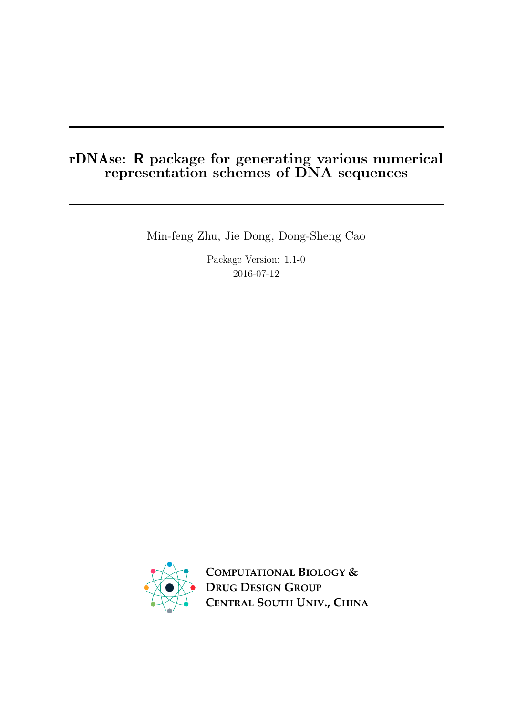# rDNAse: R package for generating various numerical representation schemes of DNA sequences

Min-feng Zhu, Jie Dong, Dong-Sheng Cao

Package Version: 1.1-0 2016-07-12



**COMPUTATIONAL BIOLOGY & DRUG DESIGN GROUP CENTRAL SOUTH UNIV., CHINA**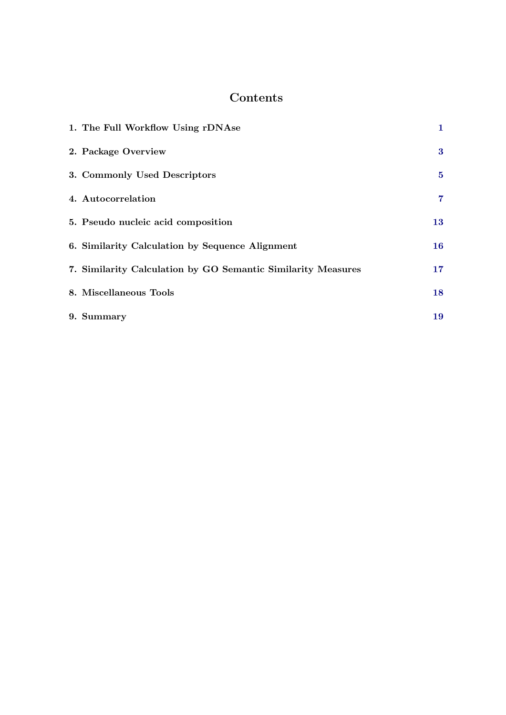# Contents

| 1. The Full Workflow Using rDNAse                            | 1              |
|--------------------------------------------------------------|----------------|
| 2. Package Overview                                          | $\bf{3}$       |
| 3. Commonly Used Descriptors                                 | $5^{\circ}$    |
| 4. Autocorrelation                                           | $\overline{7}$ |
| 5. Pseudo nucleic acid composition                           | 13             |
| 6. Similarity Calculation by Sequence Alignment              | 16             |
| 7. Similarity Calculation by GO Semantic Similarity Measures | 17             |
| 8. Miscellaneous Tools                                       | 18             |
| 9. Summary                                                   | 19             |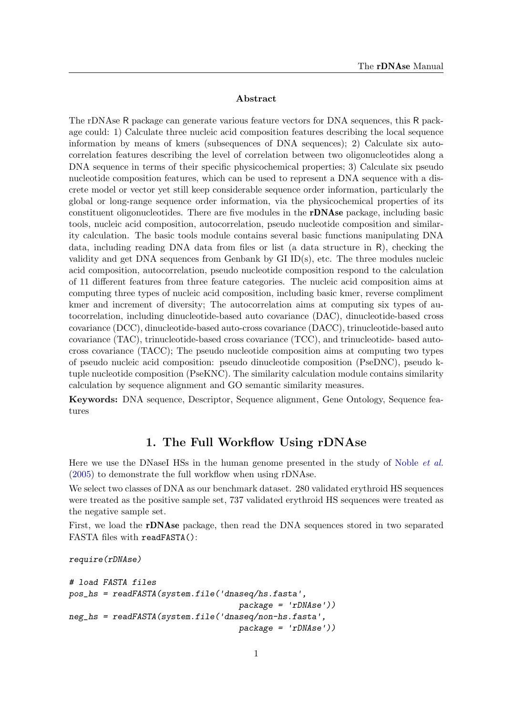#### Abstract

The rDNAse R package can generate various feature vectors for DNA sequences, this R package could: 1) Calculate three nucleic acid composition features describing the local sequence information by means of kmers (subsequences of DNA sequences); 2) Calculate six autocorrelation features describing the level of correlation between two oligonucleotides along a DNA sequence in terms of their specific physicochemical properties; 3) Calculate six pseudo nucleotide composition features, which can be used to represent a DNA sequence with a discrete model or vector yet still keep considerable sequence order information, particularly the global or long-range sequence order information, via the physicochemical properties of its constituent oligonucleotides. There are five modules in the rDNAse package, including basic tools, nucleic acid composition, autocorrelation, pseudo nucleotide composition and similarity calculation. The basic tools module contains several basic functions manipulating DNA data, including reading DNA data from files or list (a data structure in R), checking the validity and get DNA sequences from Genbank by GI ID(s), etc. The three modules nucleic acid composition, autocorrelation, pseudo nucleotide composition respond to the calculation of 11 different features from three feature categories. The nucleic acid composition aims at computing three types of nucleic acid composition, including basic kmer, reverse compliment kmer and increment of diversity; The autocorrelation aims at computing six types of autocorrelation, including dinucleotide-based auto covariance (DAC), dinucleotide-based cross covariance (DCC), dinucleotide-based auto-cross covariance (DACC), trinucleotide-based auto covariance (TAC), trinucleotide-based cross covariance (TCC), and trinucleotide- based autocross covariance (TACC); The pseudo nucleotide composition aims at computing two types of pseudo nucleic acid composition: pseudo dinucleotide composition (PseDNC), pseudo ktuple nucleotide composition (PseKNC). The similarity calculation module contains similarity calculation by sequence alignment and GO semantic similarity measures.

Keywords: DNA sequence, Descriptor, Sequence alignment, Gene Ontology, Sequence features

# 1. The Full Workflow Using rDNAse

<span id="page-2-0"></span>Here we use the DNaseI HSs in the human genome presented in the study of [Noble](#page-23-0) *et al.* [\(2005\)](#page-23-0) to demonstrate the full workflow when using rDNAse.

We select two classes of DNA as our benchmark dataset. 280 validated erythroid HS sequences were treated as the positive sample set, 737 validated erythroid HS sequences were treated as the negative sample set.

First, we load the **rDNAse** package, then read the DNA sequences stored in two separated FASTA files with readFASTA():

require(rDNAse)

```
# load FASTA files
pos_hs = readFASTA(system.file('dnaseq/hs.fasta',
                                   package = 'rDNAse'))
neg_hs = readFASTA(system.file('dnaseq/non-hs.fasta',
                                   package = 'rDNAse'))
```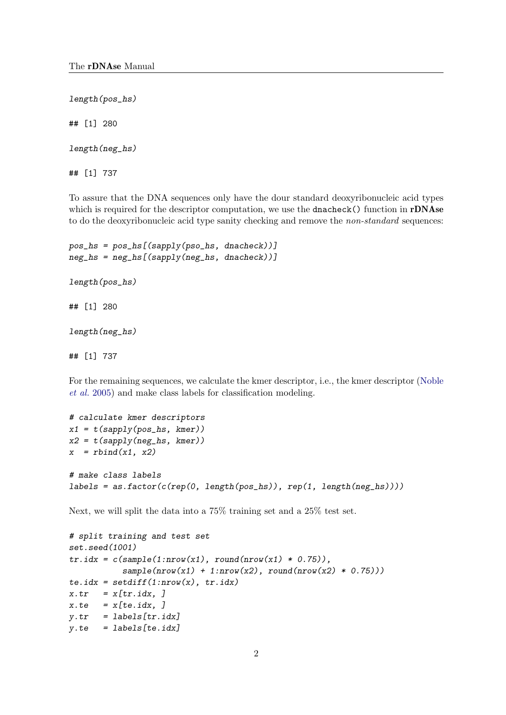length(pos\_hs)

## [1] 280

length(neg\_hs)

## [1] 737

To assure that the DNA sequences only have the dour standard deoxyribonucleic acid types which is required for the descriptor computation, we use the dnacheck() function in rDNAse to do the deoxyribonucleic acid type sanity checking and remove the *non-standard* sequences:

```
pos_hs = pos_hs([sapply(pso_hs, dnacheck))]neg_hs = neg_hs[(sapply(neg_hs, dnacheck))]
length(pos_hs)
## [1] 280
```
length(neg\_hs)

## [1] 737

For the remaining sequences, we calculate the kmer descriptor, i.e., the kmer descriptor [\(Noble](#page-23-0) [et al.](#page-23-0) [2005\)](#page-23-0) and make class labels for classification modeling.

```
# calculate kmer descriptors
x1 = t(sapply(pos_h, kmer))x2 = t(sapply(neg_h, kmer))x = \text{rbind}(x1, x2)# make class labels
labels = as.factor(c(rep(0, length(pos_hs)), rep(1, length(neg_hs))))
```
Next, we will split the data into a 75% training set and a 25% test set.

```
# split training and test set
set.seed(1001)
tr.idx = c(sample(1:nrow(x1), round(nrow(x1) * 0.75)),sample(nrow(x1) + 1:nrow(x2), round(nrow(x2) * 0.75)))te.idx = setdiff(1:nvw(x), tr.idx)x.tr = x[tr.idx, ]x.te = x[te.idx, ]y.tr = labels[tr.idx]y.te = labels[te.idx]
```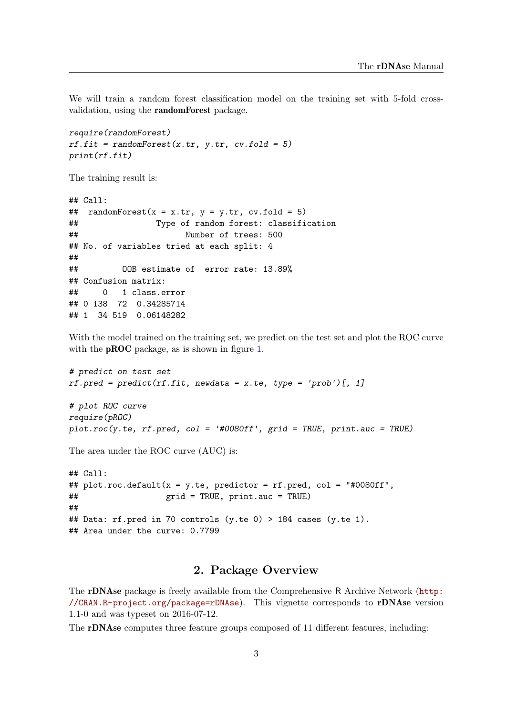We will train a random forest classification model on the training set with 5-fold crossvalidation, using the randomForest package.

```
require(randomForest)
rf.fit = randomForest(x.tr, y.tr, cv.fold = 5)print(rf.fit)
```
The training result is:

```
## Call:
## randomForest(x = x.tr, y = y.tr, cv.fold = 5)
## Type of random forest: classification
## Number of trees: 500
## No. of variables tried at each split: 4
##
## OOB estimate of error rate: 13.89%
## Confusion matrix:
## 0 1 class.error
## 0 138 72 0.34285714
## 1 34 519 0.06148282
```
With the model trained on the training set, we predict on the test set and plot the ROC curve with the **pROC** package, as is shown in figure [1.](#page-5-0)

```
# predict on test set
rf. pred = predict(rf.fit, newdata = x.te, type = 'prob')[, 1]# plot ROC curve
require(pROC)
plot.roc(y.te, rf.pred, col = '#0080ff', grid = TRUE, print.auc = TRUE)
```
The area under the ROC curve (AUC) is:

```
## Call:
## plot.roc.default(x = y.te, predictor = rf.pred, col = "#0080ff",
## grid = TRUE, print.auc = TRUE)
##
## Data: rf.pred in 70 controls (y.te 0) > 184 cases (y.te 1).
## Area under the curve: 0.7799
```
### 2. Package Overview

<span id="page-4-0"></span>The rDNAse package is freely available from the Comprehensive R Archive Network ([http:](http://CRAN.R-project.org/package=rDNAse) [//CRAN.R-project.org/package=rDNAse](http://CRAN.R-project.org/package=rDNAse)). This vignette corresponds to rDNAse version 1.1-0 and was typeset on 2016-07-12.

The rDNAse computes three feature groups composed of 11 different features, including: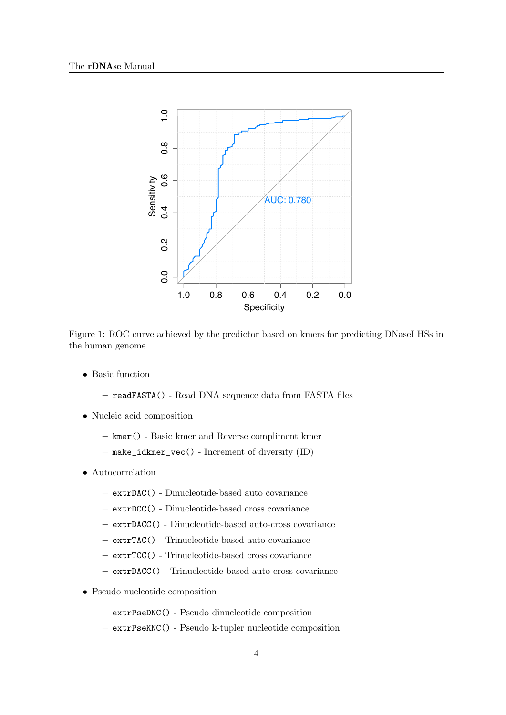

<span id="page-5-0"></span>Figure 1: ROC curve achieved by the predictor based on kmers for predicting DNaseI HSs in the human genome

- Basic function
	- readFASTA() Read DNA sequence data from FASTA files
- Nucleic acid composition
	- kmer() Basic kmer and Reverse compliment kmer
	- make\_idkmer\_vec() Increment of diversity (ID)
- Autocorrelation
	- extrDAC() Dinucleotide-based auto covariance
	- extrDCC() Dinucleotide-based cross covariance
	- extrDACC() Dinucleotide-based auto-cross covariance
	- extrTAC() Trinucleotide-based auto covariance
	- extrTCC() Trinucleotide-based cross covariance
	- extrDACC() Trinucleotide-based auto-cross covariance
- Pseudo nucleotide composition
	- extrPseDNC() Pseudo dinucleotide composition
	- extrPseKNC() Pseudo k-tupler nucleotide composition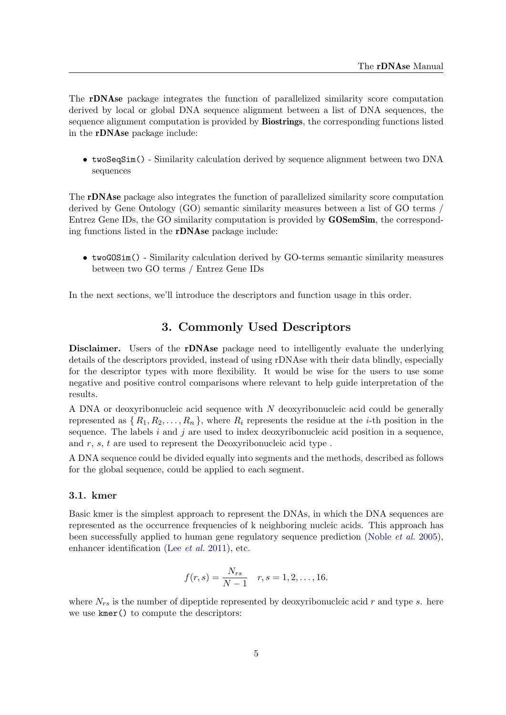The rDNAse package integrates the function of parallelized similarity score computation derived by local or global DNA sequence alignment between a list of DNA sequences, the sequence alignment computation is provided by **Biostrings**, the corresponding functions listed in the rDNAse package include:

• twoSeqSim() - Similarity calculation derived by sequence alignment between two DNA sequences

The rDNAse package also integrates the function of parallelized similarity score computation derived by Gene Ontology (GO) semantic similarity measures between a list of GO terms / Entrez Gene IDs, the GO similarity computation is provided by GOSemSim, the corresponding functions listed in the rDNAse package include:

• twoGOSim() - Similarity calculation derived by GO-terms semantic similarity measures between two GO terms / Entrez Gene IDs

In the next sections, we'll introduce the descriptors and function usage in this order.

### 3. Commonly Used Descriptors

<span id="page-6-0"></span>Disclaimer. Users of the rDNAse package need to intelligently evaluate the underlying details of the descriptors provided, instead of using rDNAse with their data blindly, especially for the descriptor types with more flexibility. It would be wise for the users to use some negative and positive control comparisons where relevant to help guide interpretation of the results.

A DNA or deoxyribonucleic acid sequence with N deoxyribonucleic acid could be generally represented as  $\{R_1, R_2, \ldots, R_n\}$ , where  $R_i$  represents the residue at the *i*-th position in the sequence. The labels  $i$  and  $j$  are used to index deoxyribonucleic acid position in a sequence, and r, s, t are used to represent the Deoxyribonucleic acid type .

A DNA sequence could be divided equally into segments and the methods, described as follows for the global sequence, could be applied to each segment.

#### 3.1. kmer

Basic kmer is the simplest approach to represent the DNAs, in which the DNA sequences are represented as the occurrence frequencies of k neighboring nucleic acids. This approach has been successfully applied to human gene regulatory sequence prediction [\(Noble](#page-23-0) et al. [2005\)](#page-23-0), enhancer identification (Lee [et al.](#page-23-1) [2011\)](#page-23-1), etc.

$$
f(r,s) = \frac{N_{rs}}{N-1} \quad r, s = 1, 2, \dots, 16.
$$

where  $N_{rs}$  is the number of dipeptide represented by deoxyribonucleic acid r and type s. here we use kmer() to compute the descriptors: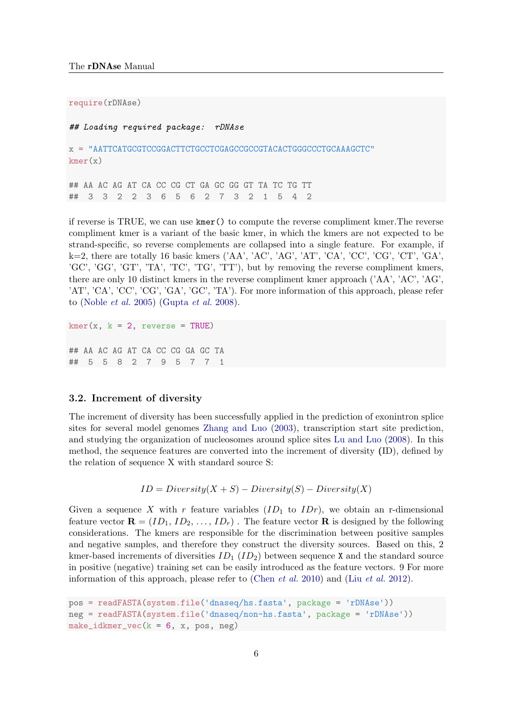require(rDNAse) ## Loading required package: rDNAse x = "AATTCATGCGTCCGGACTTCTGCCTCGAGCCGCCGTACACTGGGCCCTGCAAAGCTC" kmer(x) ## AA AC AG AT CA CC CG CT GA GC GG GT TA TC TG TT ## 3 3 2 2 3 6 5 6 2 7 3 2 1 5 4 2

if reverse is TRUE, we can use kmer() to compute the reverse compliment kmer.The reverse compliment kmer is a variant of the basic kmer, in which the kmers are not expected to be strand-specific, so reverse complements are collapsed into a single feature. For example, if k=2, there are totally 16 basic kmers ('AA', 'AC', 'AG', 'AT', 'CA', 'CC', 'CG', 'CT', 'GA', 'GC', 'GG', 'GT', 'TA', 'TC', 'TG', 'TT'), but by removing the reverse compliment kmers, there are only 10 distinct kmers in the reverse compliment kmer approach ('AA', 'AC', 'AG', 'AT', 'CA', 'CC', 'CG', 'GA', 'GC', 'TA'). For more information of this approach, please refer to [\(Noble](#page-23-0) et al. [2005\)](#page-23-0) [\(Gupta](#page-23-2) et al. [2008\)](#page-23-2).

 $kmer(x, k = 2, reverse = TRUE)$ 

## AA AC AG AT CA CC CG GA GC TA ## 5 5 8 2 7 9 5 7 7 1

#### 3.2. Increment of diversity

The increment of diversity has been successfully applied in the prediction of exonintron splice sites for several model genomes [Zhang and Luo](#page-23-3) [\(2003\)](#page-23-3), transcription start site prediction, and studying the organization of nucleosomes around splice sites [Lu and Luo](#page-23-4) [\(2008\)](#page-23-4). In this method, the sequence features are converted into the increment of diversity (ID), defined by the relation of sequence X with standard source S:

$$
ID = Diversity(X + S) - Diversity(S) - Diversity(X)
$$

Given a sequence X with r feature variables  $(ID_1$  to  $IDr)$ , we obtain an r-dimensional feature vector  $\mathbf{R} = (ID_1, ID_2, \ldots, ID_r)$ . The feature vector  $\mathbf{R}$  is designed by the following considerations. The kmers are responsible for the discrimination between positive samples and negative samples, and therefore they construct the diversity sources. Based on this, 2 kmer-based increments of diversities  $ID_1$  ( $ID_2$ ) between sequence X and the standard source in positive (negative) training set can be easily introduced as the feature vectors. 9 For more information of this approach, please refer to [\(Chen](#page-23-5) *[et al.](#page-23-6)* [2010\)](#page-23-5) and (Liu *et al.* [2012\)](#page-23-6).

```
pos = readFASTA(system.file('dnaseq/hs.fasta', package = 'rDNAse'))
neg = readFASTA(system.file('dnaseq/non-hs.fasta', package = 'rDNAse'))
make_idkmer\_vec(k = 6, x, pos, neg)
```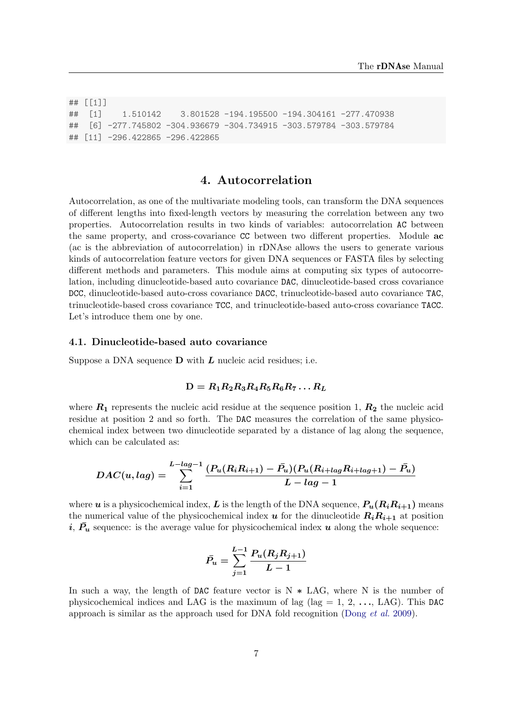## [[1]] ## [1] 1.510142 3.801528 -194.195500 -194.304161 -277.470938 ## [6] -277.745802 -304.936679 -304.734915 -303.579784 -303.579784 ## [11] -296.422865 -296.422865

### 4. Autocorrelation

<span id="page-8-0"></span>Autocorrelation, as one of the multivariate modeling tools, can transform the DNA sequences of different lengths into fixed-length vectors by measuring the correlation between any two properties. Autocorrelation results in two kinds of variables: autocorrelation AC between the same property, and cross-covariance CC between two different properties. Module ac (ac is the abbreviation of autocorrelation) in rDNAse allows the users to generate various kinds of autocorrelation feature vectors for given DNA sequences or FASTA files by selecting different methods and parameters. This module aims at computing six types of autocorrelation, including dinucleotide-based auto covariance DAC, dinucleotide-based cross covariance DCC, dinucleotide-based auto-cross covariance DACC, trinucleotide-based auto covariance TAC, trinucleotide-based cross covariance TCC, and trinucleotide-based auto-cross covariance TACC. Let's introduce them one by one.

#### 4.1. Dinucleotide-based auto covariance

Suppose a DNA sequence  $\bf{D}$  with  $\bf{L}$  nucleic acid residues; i.e.

#### $D = R_1 R_2 R_3 R_4 R_5 R_6 R_7 \ldots R_L$

where  $R_1$  represents the nucleic acid residue at the sequence position 1,  $R_2$  the nucleic acid residue at position 2 and so forth. The DAC measures the correlation of the same physicochemical index between two dinucleotide separated by a distance of lag along the sequence, which can be calculated as:

$$
DAC(u, lag) = \sum_{i=1}^{L-lag-1} \frac{(P_u(R_iR_{i+1}) - \bar{P}_u)(P_u(R_{i+lag}R_{i+lag+1}) - \bar{P}_u)}{L-lag-1}
$$

where u is a physicochemical index, L is the length of the DNA sequence,  $P_u(R_iR_{i+1})$  means the numerical value of the physicochemical index u for the dinucleotide  $R_iR_{i+1}$  at position  $i, P_u$  sequence: is the average value for physicochemical index u along the whole sequence:

$$
\bar{P_u} = \sum_{j=1}^{L-1} \frac{P_u(R_j R_{j+1})}{L-1}
$$

In such a way, the length of DAC feature vector is  $N \ast$  LAG, where N is the number of physicochemical indices and LAG is the maximum of lag (lag  $= 1, 2, \ldots,$  LAG). This DAC approach is similar as the approach used for DNA fold recognition [\(Dong](#page-23-7) et al. [2009\)](#page-23-7).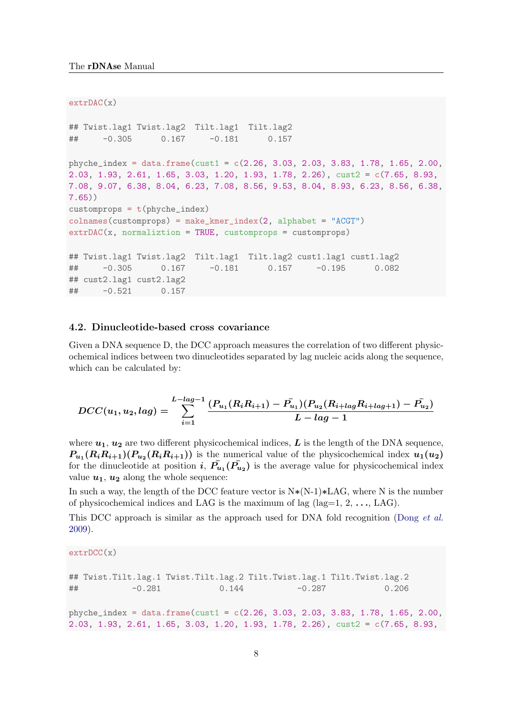extrDAC(x)

```
## Twist.lag1 Twist.lag2 Tilt.lag1 Tilt.lag2
## -0.305 0.167 -0.181 0.157
phyche_index = data.frame(cust1 = c(2.26, 3.03, 2.03, 3.83, 1.78, 1.65, 2.00,2.03, 1.93, 2.61, 1.65, 3.03, 1.20, 1.93, 1.78, 2.26), cust2 = c(7.65, 8.93,
7.08, 9.07, 6.38, 8.04, 6.23, 7.08, 8.56, 9.53, 8.04, 8.93, 6.23, 8.56, 6.38,
7.65))
customprops = t(phyche_index)colnames(customprops) = make_kmer_index(2, alphabet = "ACGT")
extrDAC(x, normalization = TRUE, customprops = customprops)## Twist.lag1 Twist.lag2 Tilt.lag1 Tilt.lag2 cust1.lag1 cust1.lag2
## -0.305 0.167 -0.181 0.157 -0.195 0.082
## cust2.lag1 cust2.lag2
## -0.521 0.157
```
#### 4.2. Dinucleotide-based cross covariance

Given a DNA sequence D, the DCC approach measures the correlation of two different physicochemical indices between two dinucleotides separated by lag nucleic acids along the sequence, which can be calculated by:

$$
DCC(u_1, u_2, lag) = \sum_{i=1}^{L-lag-1} \frac{(P_{u_1}(R_iR_{i+1}) - \bar{P}_{u_1})(P_{u_2}(R_{i+lag}R_{i+lag+1}) - \bar{P}_{u_2})}{L-lag-1}
$$

where  $u_1, u_2$  are two different physicochemical indices, L is the length of the DNA sequence,  $P_{u_1}(R_iR_{i+1})(P_{u_2}(R_iR_{i+1}))$  is the numerical value of the physicochemical index  $u_1(u_2)$ for the dinucleotide at position  $i, P_{u_1}(P_{u_2})$  is the average value for physicochemical index value  $u_1, u_2$  along the whole sequence:

In such a way, the length of the DCC feature vector is N∗(N-1)∗LAG, where N is the number of physicochemical indices and LAG is the maximum of lag (lag=1, 2,  $\dots$ , LAG).

This DCC approach is similar as the approach used for DNA fold recognition [\(Dong](#page-23-7) *et al.*) [2009\)](#page-23-7).

```
extrDCC(x)
```

```
## Twist.Tilt.lag.1 Twist.Tilt.lag.2 Tilt.Twist.lag.1 Tilt.Twist.lag.2
## -0.281 0.144 -0.287 0.206
phyche_index = data.frame(cust1 = c(2.26, 3.03, 2.03, 3.83, 1.78, 1.65, 2.00,2.03, 1.93, 2.61, 1.65, 3.03, 1.20, 1.93, 1.78, 2.26), cust2 = c(7.65, 8.93,
```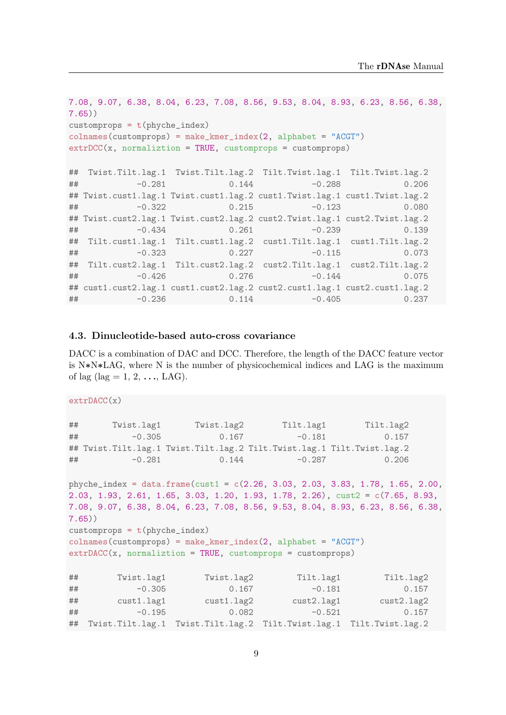```
7.08, 9.07, 6.38, 8.04, 6.23, 7.08, 8.56, 9.53, 8.04, 8.93, 6.23, 8.56, 6.38,
7.65))
customprops = t(phyche_index)colnames(customprops) = make_kmer_index(2, alphabet = "ACGT")
extrDCC(x, normalization = TRUE, customprops = customprops)## Twist.Tilt.lag.1 Twist.Tilt.lag.2 Tilt.Twist.lag.1 Tilt.Twist.lag.2
## -0.281 0.144 -0.288 0.206
## Twist.cust1.lag.1 Twist.cust1.lag.2 cust1.Twist.lag.1 cust1.Twist.lag.2
## -0.322 0.215 -0.123 0.080
## Twist.cust2.lag.1 Twist.cust2.lag.2 cust2.Twist.lag.1 cust2.Twist.lag.2
## -0.434 0.261 -0.239 0.139
## Tilt.cust1.lag.1 Tilt.cust1.lag.2 cust1.Tilt.lag.1 cust1.Tilt.lag.2
## -0.323 0.227 -0.115 0.073
## Tilt.cust2.lag.1 Tilt.cust2.lag.2 cust2.Tilt.lag.1 cust2.Tilt.lag.2
## -0.426 0.276 -0.144 0.075
## cust1.cust2.lag.1 cust1.cust2.lag.2 cust2.cust1.lag.1 cust2.cust1.lag.2
## -0.236 0.114 -0.405 0.237
```
#### 4.3. Dinucleotide-based auto-cross covariance

DACC is a combination of DAC and DCC. Therefore, the length of the DACC feature vector is N∗N∗LAG, where N is the number of physicochemical indices and LAG is the maximum of lag (lag = 1, 2,  $\ldots$ , LAG).

```
extPACC(x)
```

```
## Twist.lag1 Twist.lag2 Tilt.lag1 Tilt.lag2
## -0.305 0.167 -0.181 0.157
## Twist.Tilt.lag.1 Twist.Tilt.lag.2 Tilt.Twist.lag.1 Tilt.Twist.lag.2
## -0.281 0.144 -0.287 0.206
phyche_index = data.frame(cust1 = c(2.26, 3.03, 2.03, 3.83, 1.78, 1.65, 2.00,2.03, 1.93, 2.61, 1.65, 3.03, 1.20, 1.93, 1.78, 2.26), cust2 = c(7.65, 8.93,
7.08, 9.07, 6.38, 8.04, 6.23, 7.08, 8.56, 9.53, 8.04, 8.93, 6.23, 8.56, 6.38,
7.65))
customprops = t(phyche_index)\text{colnames}(\text{customprops}) = \text{make\_kmer\_index}(2, \text{ alphabet} = \text{"ACGT"})extrDACC(x, normalization = TRUE, customprops = customprops)## Twist.lag1 Twist.lag2 Tilt.lag1 Tilt.lag2
## -0.305 0.167 -0.181 0.157
## cust1.lag1 cust1.lag2 cust2.lag1 cust2.lag2
## -0.195 0.082 -0.521 0.157
```
## Twist.Tilt.lag.1 Twist.Tilt.lag.2 Tilt.Twist.lag.1 Tilt.Twist.lag.2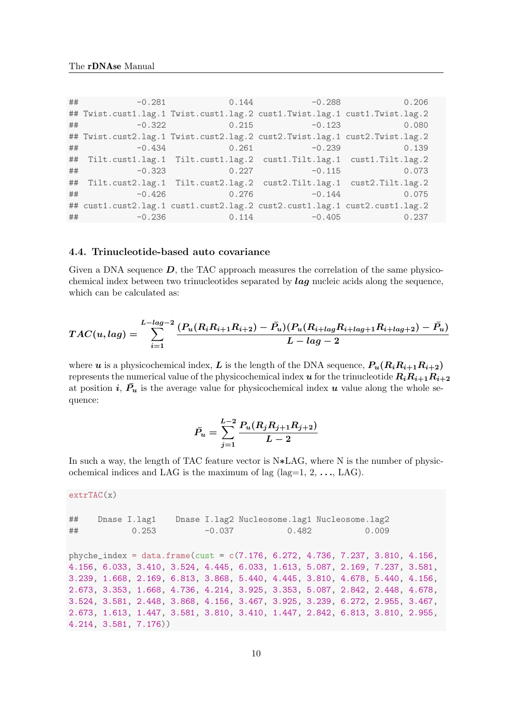```
## -0.281 0.144 -0.288 0.206
## Twist.cust1.lag.1 Twist.cust1.lag.2 cust1.Twist.lag.1 cust1.Twist.lag.2
## -0.322 0.215 -0.123 0.080
## Twist.cust2.lag.1 Twist.cust2.lag.2 cust2.Twist.lag.1 cust2.Twist.lag.2
## -0.434 0.261 -0.239 0.139
## Tilt.cust1.lag.1 Tilt.cust1.lag.2 cust1.Tilt.lag.1 cust1.Tilt.lag.2
\# + -0.323 0.227 -0.115 0.073
## Tilt.cust2.lag.1 Tilt.cust2.lag.2 cust2.Tilt.lag.1 cust2.Tilt.lag.2
## -0.426 0.276 -0.144 0.075
## cust1.cust2.lag.1 cust1.cust2.lag.2 cust2.cust1.lag.1 cust2.cust1.lag.2
## -0.236 0.114 -0.405 0.237
```
#### 4.4. Trinucleotide-based auto covariance

Given a DNA sequence  $D$ , the TAC approach measures the correlation of the same physicochemical index between two trinucleotides separated by  $lag$  nucleic acids along the sequence, which can be calculated as:

$$
TAC(u,lag) = \sum_{i=1}^{L-lag-2} \frac{(P_u(R_iR_{i+1}R_{i+2}) - \bar{P_u})(P_u(R_{i+lag}R_{i+lag+1}R_{i+lag+2}) - \bar{P_u})}{L-lag-2}
$$

where u is a physicochemical index, L is the length of the DNA sequence,  $P_u(R_iR_{i+1}R_{i+2})$ represents the numerical value of the physicochemical index u for the trinucleotide  $R_iR_{i+1}R_{i+2}$ at position i,  $P_u$  is the average value for physicochemical index u value along the whole sequence:

$$
\bar{P_u} = \sum_{j=1}^{L-2} \frac{P_u(R_j R_{j+1} R_{j+2})}{L-2}
$$

In such a way, the length of TAC feature vector is N∗LAG, where N is the number of physicochemical indices and LAG is the maximum of lag (lag=1, 2,  $\dots$ , LAG).

```
extrTAC(x)
```

```
## Dnase I.lag1 Dnase I.lag2 Nucleosome.lag1 Nucleosome.lag2
## 0.253 -0.037 0.482 0.009
phyche_index = data.frame(cust = c(7.176, 6.272, 4.736, 7.237, 3.810, 4.156,
4.156, 6.033, 3.410, 3.524, 4.445, 6.033, 1.613, 5.087, 2.169, 7.237, 3.581,
3.239, 1.668, 2.169, 6.813, 3.868, 5.440, 4.445, 3.810, 4.678, 5.440, 4.156,
2.673, 3.353, 1.668, 4.736, 4.214, 3.925, 3.353, 5.087, 2.842, 2.448, 4.678,
3.524, 3.581, 2.448, 3.868, 4.156, 3.467, 3.925, 3.239, 6.272, 2.955, 3.467,
2.673, 1.613, 1.447, 3.581, 3.810, 3.410, 1.447, 2.842, 6.813, 3.810, 2.955,
4.214, 3.581, 7.176))
```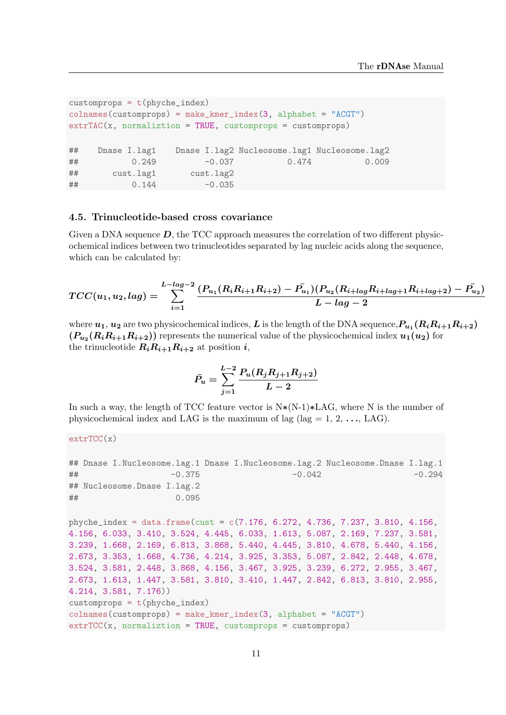```
customprops = t(phyche_index)colnames(customprops) = make_kmer_index(3, alphabet = "ACGT")
extrTAC(x, normalization = TRUE, customers = customers)## Dnase I.lag1 Dnase I.lag2 Nucleosome.lag1 Nucleosome.lag2
## 0.249 -0.037 0.474 0.009
## cust.lag1 cust.lag2
## 0.144 -0.035
```
#### 4.5. Trinucleotide-based cross covariance

Given a DNA sequence  $D$ , the TCC approach measures the correlation of two different physicochemical indices between two trinucleotides separated by lag nucleic acids along the sequence, which can be calculated by:

$$
TCC(u_1, u_2, lag) = \sum_{i=1}^{L-lag-2} \frac{(P_{u_1}(R_iR_{i+1}R_{i+2}) - \bar{P_{u_1}})(P_{u_2}(R_{i+lag}R_{i+lag+1}R_{i+lag+2}) - \bar{P_{u_2}})}{L-lag-2}
$$

where  $u_1,u_2$  are two physicochemical indices,  $L$  is the length of the DNA sequence,  $P_{u_1}(R_iR_{i+1}R_{i+2})$  $(P_{u_2}(R_iR_{i+1}R_{i+2}))$  represents the numerical value of the physicochemical index  $u_1(u_2)$  for the trinucleotide  $R_iR_{i+1}R_{i+2}$  at position *i*,

$$
\bar{P_u} = \sum_{j=1}^{L-2} \frac{P_u(R_j R_{j+1} R_{j+2})}{L-2}
$$

In such a way, the length of TCC feature vector is  $N*(N-1)*LAG$ , where N is the number of physicochemical index and LAG is the maximum of lag (lag  $= 1, 2, \ldots, LAG$ ).

```
extrTCC(x)
```

```
## Dnase I.Nucleosome.lag.1 Dnase I.Nucleosome.lag.2 Nucleosome.Dnase I.lag.1
## −0.375 -0.375 -0.042
## Nucleosome.Dnase I.lag.2
## 0.095
phyche_index = data.frame(cust = c(7.176, 6.272, 4.736, 7.237, 3.810, 4.156,
4.156, 6.033, 3.410, 3.524, 4.445, 6.033, 1.613, 5.087, 2.169, 7.237, 3.581,
3.239, 1.668, 2.169, 6.813, 3.868, 5.440, 4.445, 3.810, 4.678, 5.440, 4.156,
2.673, 3.353, 1.668, 4.736, 4.214, 3.925, 3.353, 5.087, 2.842, 2.448, 4.678,
3.524, 3.581, 2.448, 3.868, 4.156, 3.467, 3.925, 3.239, 6.272, 2.955, 3.467,
2.673, 1.613, 1.447, 3.581, 3.810, 3.410, 1.447, 2.842, 6.813, 3.810, 2.955,
4.214, 3.581, 7.176))
```

```
customprops = t(phyche_index)
```

```
\text{colnames}(\text{customprops}) = \text{make\_kmer\_index}(3, \text{ alphabet} = \text{"ACGT"})
```

```
extrTCC(x, normalization = TRUE, customprops = customprops)
```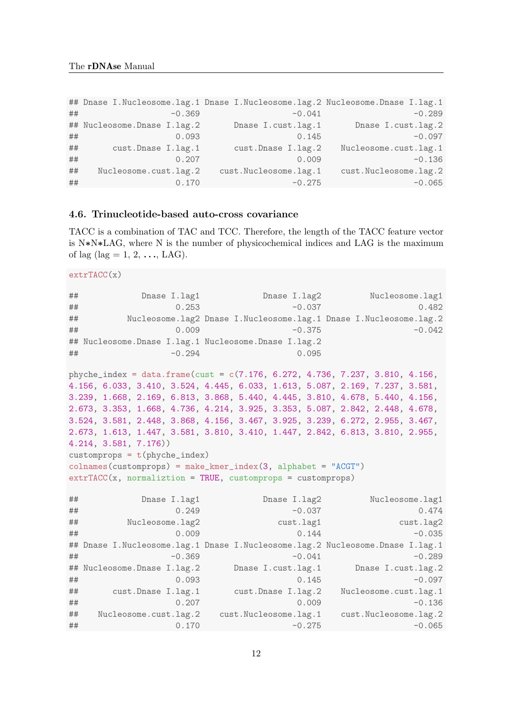```
## Dnase I.Nucleosome.lag.1 Dnase I.Nucleosome.lag.2 Nucleosome.Dnase I.lag.1
## −0.369 -0.369 -0.041 -0.289
## Nucleosome.Dnase I.lag.2 Dnase I.cust.lag.1 Dnase I.cust.lag.2
## 0.093 0.145 -0.097
## cust.Dnase I.lag.1 cust.Dnase I.lag.2 Nucleosome.cust.lag.1
## 0.207 0.009 -0.136
## Nucleosome.cust.lag.2 cust.Nucleosome.lag.1 cust.Nucleosome.lag.2
## 0.170 -0.275 -0.065
```
#### 4.6. Trinucleotide-based auto-cross covariance

TACC is a combination of TAC and TCC. Therefore, the length of the TACC feature vector is N∗N∗LAG, where N is the number of physicochemical indices and LAG is the maximum of lag (lag = 1, 2,  $\ldots$ , LAG).

```
extrTACC(x)
```

```
## Dnase I.lag1 Dnase I.lag2 Nucleosome.lag1
## 0.253 -0.037 0.482
## Nucleosome.lag2 Dnase I.Nucleosome.lag.1 Dnase I.Nucleosome.lag.2
## 0.009 -0.375 -0.042
## Nucleosome.Dnase I.lag.1 Nucleosome.Dnase I.lag.2
## -0.294 0.095
phyche_index = data.frame(cust = c(7.176, 6.272, 4.736, 7.237, 3.810, 4.156,
4.156, 6.033, 3.410, 3.524, 4.445, 6.033, 1.613, 5.087, 2.169, 7.237, 3.581,
3.239, 1.668, 2.169, 6.813, 3.868, 5.440, 4.445, 3.810, 4.678, 5.440, 4.156,
2.673, 3.353, 1.668, 4.736, 4.214, 3.925, 3.353, 5.087, 2.842, 2.448, 4.678,
3.524, 3.581, 2.448, 3.868, 4.156, 3.467, 3.925, 3.239, 6.272, 2.955, 3.467,
2.673, 1.613, 1.447, 3.581, 3.810, 3.410, 1.447, 2.842, 6.813, 3.810, 2.955,
4.214, 3.581, 7.176))
customprops = t(phyche_index)colnames(customprops) = make_kmer_index(3, alphabet = "ACGT")
extrTACC(x, normalization = TRUE, customers = customers)## Dnase I.lag1 Dnase I.lag2 Nucleosome.lag1
## 0.249 -0.037 0.474
## Nucleosome.lag2 cust.lag1 cust.lag2
## 0.009 0.009 0.144 -0.035
## Dnase I.Nucleosome.lag.1 Dnase I.Nucleosome.lag.2 Nucleosome.Dnase I.lag.1
## −0.369 -0.369 -0.041 -0.289
## Nucleosome.Dnase I.lag.2 Dnase I.cust.lag.1 Dnase I.cust.lag.2
## 0.093 0.145 -0.097
## cust.Dnase I.lag.1 cust.Dnase I.lag.2 Nucleosome.cust.lag.1
## 0.207 0.009 -0.136
## Nucleosome.cust.lag.2 cust.Nucleosome.lag.1 cust.Nucleosome.lag.2
```
## 0.170 -0.275 -0.065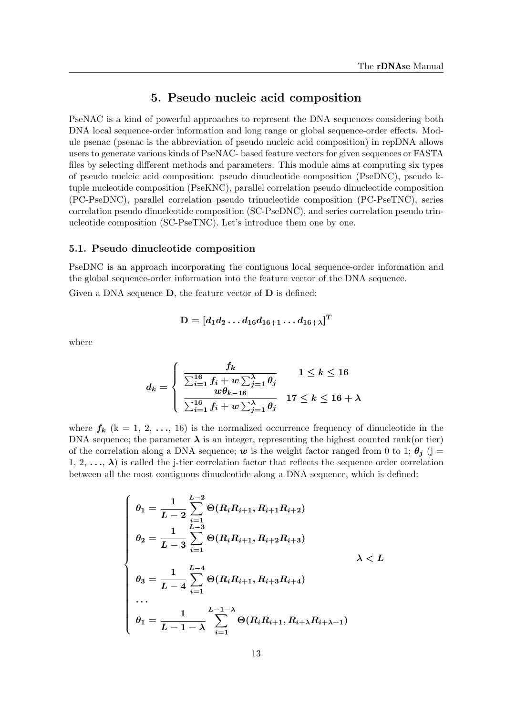# 5. Pseudo nucleic acid composition

<span id="page-14-0"></span>PseNAC is a kind of powerful approaches to represent the DNA sequences considering both DNA local sequence-order information and long range or global sequence-order effects. Module psenac (psenac is the abbreviation of pseudo nucleic acid composition) in repDNA allows users to generate various kinds of PseNAC- based feature vectors for given sequences or FASTA files by selecting different methods and parameters. This module aims at computing six types of pseudo nucleic acid composition: pseudo dinucleotide composition (PseDNC), pseudo ktuple nucleotide composition (PseKNC), parallel correlation pseudo dinucleotide composition (PC-PseDNC), parallel correlation pseudo trinucleotide composition (PC-PseTNC), series correlation pseudo dinucleotide composition (SC-PseDNC), and series correlation pseudo trinucleotide composition (SC-PseTNC). Let's introduce them one by one.

#### 5.1. Pseudo dinucleotide composition

PseDNC is an approach incorporating the contiguous local sequence-order information and the global sequence-order information into the feature vector of the DNA sequence.

Given a DNA sequence  $D$ , the feature vector of  $D$  is defined:

$$
\mathrm{D} = [d_1 d_2 \ldots d_{16} d_{16+1} \ldots d_{16+\lambda}]^T
$$

where

$$
d_k = \begin{cases} \frac{f_k}{\sum_{i=1}^{16} f_i + w \sum_{j=1}^{\lambda} \theta_j} & 1 \leq k \leq 16\\ \frac{w\theta_{k-16}}{\sum_{i=1}^{16} f_i + w \sum_{j=1}^{\lambda} \theta_j} & 17 \leq k \leq 16 + \lambda \end{cases}
$$

where  $f_k$  (k = 1, 2, ..., 16) is the normalized occurrence frequency of dinucleotide in the DNA sequence; the parameter  $\lambda$  is an integer, representing the highest counted rank(or tier) of the correlation along a DNA sequence; w is the weight factor ranged from 0 to 1;  $\theta_j$  (j = 1, 2,  $\ldots$ ,  $\lambda$ ) is called the j-tier correlation factor that reflects the sequence order correlation between all the most contiguous dinucleotide along a DNA sequence, which is defined:

$$
\begin{cases}\n\theta_1 = \frac{1}{L-2} \sum_{i=1}^{L-2} \Theta(R_i R_{i+1}, R_{i+1} R_{i+2}) \\
\theta_2 = \frac{1}{L-3} \sum_{i=1}^{L-3} \Theta(R_i R_{i+1}, R_{i+2} R_{i+3}) \\
\theta_3 = \frac{1}{L-4} \sum_{i=1}^{L-4} \Theta(R_i R_{i+1}, R_{i+3} R_{i+4}) \\
\cdots \\
\theta_1 = \frac{1}{L-1-\lambda} \sum_{i=1}^{L-1-\lambda} \Theta(R_i R_{i+1}, R_{i+\lambda} R_{i+\lambda+1})\n\end{cases} \lambda < L
$$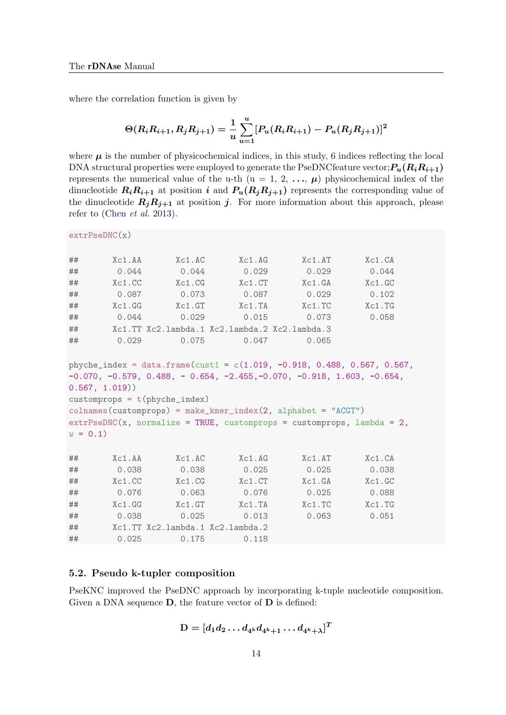where the correlation function is given by

$$
\Theta(R_i R_{i+1}, R_j R_{j+1}) = \frac{1}{u} \sum_{u=1}^u [P_u(R_i R_{i+1}) - P_u(R_j R_{j+1})]^2
$$

where  $\mu$  is the number of physicochemical indices, in this study, 6 indices reflecting the local DNA structural properties were employed to generate the PseDNCfeature vector;  $P_u(R_iR_{i+1})$ represents the numerical value of the u-th  $(u = 1, 2, ..., \mu)$  physicochemical index of the dinucleotide  $R_iR_{i+1}$  at position i and  $P_u(R_jR_{j+1})$  represents the corresponding value of the dinucleotide  $R_jR_{j+1}$  at position j. For more information about this approach, please refer to [\(Chen](#page-23-8) et al. [2013\)](#page-23-8).

extrPseDNC(x)

| ##        | Xc1.AA        | Xc1.AC                          | Xc1.AG                                                                                                                                                                                                                                                                                                                    | Xc1.AT        | Xc1.CA |
|-----------|---------------|---------------------------------|---------------------------------------------------------------------------------------------------------------------------------------------------------------------------------------------------------------------------------------------------------------------------------------------------------------------------|---------------|--------|
| ##        | 0.044         | 0.044                           | 0.029                                                                                                                                                                                                                                                                                                                     | 0.029         | 0.044  |
| ##        | Xc1.CC        | Xc1.CG                          | Xc1.CT                                                                                                                                                                                                                                                                                                                    | Xc1.GA        | Xc1.GC |
| ##        | 0.087         | 0.073                           | 0.087                                                                                                                                                                                                                                                                                                                     | 0.029         | 0.102  |
| ##        | Xc1.GG        | Xc1.GT                          | $Xc1$ . $TA$                                                                                                                                                                                                                                                                                                              | Xc1.TC        | Xc1.TG |
| ##        | 0.044         | 0.029                           | 0.015                                                                                                                                                                                                                                                                                                                     | 0.073         | 0.058  |
| ##        |               |                                 | Xc1.TT Xc2.lambda.1 Xc2.lambda.2 Xc2.lambda.3                                                                                                                                                                                                                                                                             |               |        |
| ##        | 0.029         | 0.075                           | 0.047                                                                                                                                                                                                                                                                                                                     | 0.065         |        |
| $w = 0.1$ | 0.567, 1.019) | $customprops = t(phyche_index)$ | phyche_index = data.frame(cust1 = $c(1.019, -0.918, 0.488, 0.567, 0.567,$<br>$-0.070$ , $-0.579$ , $0.488$ , $-0.654$ , $-2.455$ , $-0.070$ , $-0.918$ , $1.603$ , $-0.654$ ,<br>$collnames(customprops) = make_kmer_index(2, alphabet = "ACGT")$<br>$extrPseDNC(x, normalize = TRUE, customers = customers, lambda = 2,$ |               |        |
| ##        | Xc1.AA        | Xc1.AC                          | Xc1.AG                                                                                                                                                                                                                                                                                                                    | Xc1.AT        | Xc1.CA |
| ##        | 0.038         | 0.038                           | 0.025                                                                                                                                                                                                                                                                                                                     | 0.025         | 0.038  |
| ##        | Xc1.CC        | Xc1.CG                          | Xc1.CT                                                                                                                                                                                                                                                                                                                    | Xc1.GA        | Xc1.GC |
| ##        | 0.076         | 0.063                           | 0.076                                                                                                                                                                                                                                                                                                                     | 0.025         | 0.088  |
| ##        | Xc1.GG        | Xc1.GT                          | Xc1.TA                                                                                                                                                                                                                                                                                                                    | $Xc1$ . T $C$ | Xc1.TG |
| ##        | 0.038         | 0.025                           | 0.013                                                                                                                                                                                                                                                                                                                     | 0.063         | 0.051  |
| ##        |               |                                 | Xc1.TT Xc2.lambda.1 Xc2.lambda.2                                                                                                                                                                                                                                                                                          |               |        |

#### 5.2. Pseudo k-tupler composition

## 0.025 0.175 0.118

PseKNC improved the PseDNC approach by incorporating k-tuple nucleotide composition. Given a DNA sequence  $D$ , the feature vector of  $D$  is defined:

$$
\mathrm{D}=[d_1 d_2 \ldots d_{4^k}d_{4^k+1} \ldots d_{4^k+\lambda}]^T
$$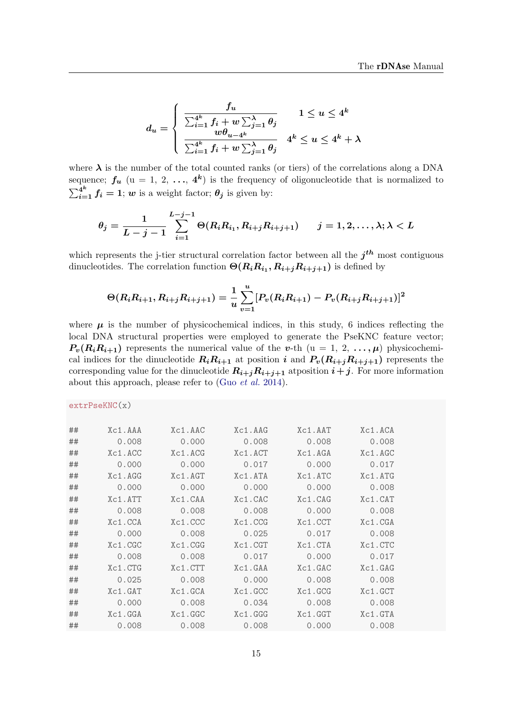$$
d_u = \begin{cases} \frac{f_u}{\sum_{i=1}^{4^k} f_i + w \sum_{j=1}^{\lambda} \theta_j} & 1 \le u \le 4^k\\ \frac{w\theta_{u-4^k}}{\sum_{i=1}^{4^k} f_i + w \sum_{j=1}^{\lambda} \theta_j} & 4^k \le u \le 4^k + \lambda \end{cases}
$$

where  $\lambda$  is the number of the total counted ranks (or tiers) of the correlations along a DNA sequence;  $f_u$  (u = 1, 2, ...,  $4^k$ ) is the frequency of oligonucleotide that is normalized to  $\sum_{i=1}^{4^k} f_i = 1$ ; w is a weight factor;  $\theta_j$  is given by:

$$
\theta_j = \frac{1}{L-j-1} \sum_{i=1}^{L-j-1} \Theta(R_i R_{i_1}, R_{i+j} R_{i+j+1}) \qquad j = 1, 2, \dots, \lambda; \lambda < L
$$

which represents the j-tier structural correlation factor between all the  $j<sup>th</sup>$  most contiguous dinucleotides. The correlation function  $\Theta(R_i R_{i_1}, R_{i+j} R_{i+j+1})$  is defined by

$$
\Theta(R_i R_{i+1}, R_{i+j} R_{i+j+1}) = \frac{1}{u} \sum_{v=1}^u [P_v(R_i R_{i+1}) - P_v(R_{i+j} R_{i+j+1})]^2
$$

where  $\mu$  is the number of physicochemical indices, in this study, 6 indices reflecting the local DNA structural properties were employed to generate the PseKNC feature vector;  $P_v(R_iR_{i+1})$  represents the numerical value of the v-th  $(u = 1, 2, ..., \mu)$  physicochemical indices for the dinucleotide  $R_iR_{i+1}$  at position i and  $P_v(R_{i+j}R_{i+j+1})$  represents the corresponding value for the dinucleotide  $R_{i+j}R_{i+j+1}$  atposition  $i+j$ . For more information about this approach, please refer to (Guo [et al.](#page-23-9) [2014\)](#page-23-9).

| extrPseKNC(x) |
|---------------|
|---------------|

| ## | Xc1.AAA | Xc1.AAC       | Xc1.AAG | Xc1.AAT | Xc1.ACA |
|----|---------|---------------|---------|---------|---------|
| ## | 0.008   | 0.000         | 0.008   | 0.008   | 0.008   |
| ## | Xc1.ACC | $Xc1$ . $ACG$ | Xc1.ACT | Xc1.AGA | Xc1.AGC |
| ## | 0.000   | 0.000         | 0.017   | 0.000   | 0.017   |
| ## | Xc1.AGG | Xc1.AGT       | Xc1.ATA | Xc1.ATC | Xc1.ATG |
| ## | 0.000   | 0.000         | 0.000   | 0.000   | 0.008   |
| ## | Xc1.ATT | Xc1.CAA       | Xc1.CAC | Xc1.CAG | Xc1.CAT |
| ## | 0.008   | 0.008         | 0.008   | 0.000   | 0.008   |
| ## | Xc1.CCA | Xc1.CCC       | Xc1.CCG | Xc1.CCT | Xc1.CGA |
| ## | 0.000   | 0.008         | 0.025   | 0.017   | 0.008   |
| ## | Xc1.CGC | Xc1.CGG       | Xc1.CGT | Xc1.CTA | Xc1.CTC |
| ## | 0.008   | 0.008         | 0.017   | 0.000   | 0.017   |
| ## | Xc1.CTG | Xc1.CTT       | Xc1.GAA | Xc1.GAC | Xc1.GAG |
| ## | 0.025   | 0.008         | 0.000   | 0.008   | 0.008   |
| ## | Xc1.GAT | Xc1.GCA       | Xc1.GCC | Xc1.GCG | Xc1.GCT |
| ## | 0.000   | 0.008         | 0.034   | 0.008   | 0.008   |
| ## | Xc1.GGA | Xc1.GGC       | Xc1.GGG | Xc1.GGT | Xc1.GTA |
| ## | 0.008   | 0.008         | 0.008   | 0.000   | 0.008   |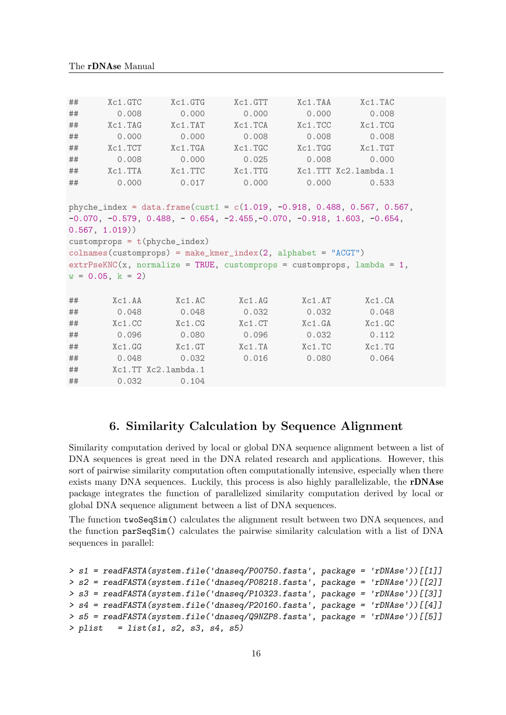| ## | Xc1.GTC           | Xc1.GTG                                                                                        | Xc1.GTT | Xc1.TAA              | Xc1.TAC     |  |
|----|-------------------|------------------------------------------------------------------------------------------------|---------|----------------------|-------------|--|
| ## | 0.008             | 0.000                                                                                          | 0.000   | 0.000                | 0.008       |  |
| ## | Xc1.TAG           | Xc1.TAT                                                                                        | Xc1.TCA | Xc1.TCC              | $Xc1$ . TCG |  |
| ## | 0.000             | 0.000                                                                                          | 0.008   | 0.008                | 0.008       |  |
| ## | Xc1.TCT           | $Xc1$ . T $GA$                                                                                 | Xc1.TGC | $Xc1$ . $TGG$        | $Xc1$ . TGT |  |
| ## | 0.008             | 0.000                                                                                          | 0.025   | 0.008                | 0.000       |  |
| ## | Xc1.TTA           | Xc1.TTC                                                                                        | Xc1.TTG | Xc1.TTT Xc2.lambda.1 |             |  |
| ## | 0.000             | 0.017                                                                                          | 0.000   | 0.000                | 0.533       |  |
|    |                   | phyche_index = data.frame(cust1 = $c(1.019, -0.918, 0.488, 0.567, 0.567,$                      |         |                      |             |  |
|    |                   | $-0.070, -0.579, 0.488, -0.654, -2.455, -0.070, -0.918, 1.603, -0.654,$                        |         |                      |             |  |
|    | 0.567, 1.019)     |                                                                                                |         |                      |             |  |
|    |                   | customprops = $t$ (phyche_index)                                                               |         |                      |             |  |
|    |                   | $\text{colnames}(\text{customprops}) = \text{make\_kmer\_index}(2, \text{ alphabet} = "ACGT")$ |         |                      |             |  |
|    |                   | $extrPseKNC(x, normalize = TRUE, customers = customers, lambda = 1,$                           |         |                      |             |  |
|    | $w = 0.05, k = 2$ |                                                                                                |         |                      |             |  |
|    |                   |                                                                                                |         |                      |             |  |
| ## | Xc1.AA            | Xc1.AC                                                                                         | Xc1.AG  | Xc1.AT               | Xc1.CA      |  |
| ## | 0.048             | 0.048                                                                                          | 0.032   | 0.032                | 0.048       |  |
| ## | Xc1.CC            | Xc1.CG                                                                                         | Xc1.CT  | Xc1.GA               | Xc1.GC      |  |
| ## | 0.096             | 0.080                                                                                          | 0.096   | 0.032                | 0.112       |  |
| ## | Xc1.GG            | Xc1.GT                                                                                         | Xc1.TA  | Xc1.TC               | Xc1.TG      |  |
| ## | 0.048             | 0.032                                                                                          | 0.016   | 0.080                | 0.064       |  |
| ## |                   | Xc1.TT Xc2.lambda.1                                                                            |         |                      |             |  |
| ## | 0.032             | 0.104                                                                                          |         |                      |             |  |

# 6. Similarity Calculation by Sequence Alignment

<span id="page-17-0"></span>Similarity computation derived by local or global DNA sequence alignment between a list of DNA sequences is great need in the DNA related research and applications. However, this sort of pairwise similarity computation often computationally intensive, especially when there exists many DNA sequences. Luckily, this process is also highly parallelizable, the rDNAse package integrates the function of parallelized similarity computation derived by local or global DNA sequence alignment between a list of DNA sequences.

The function twoSeqSim() calculates the alignment result between two DNA sequences, and the function parSeqSim() calculates the pairwise similarity calculation with a list of DNA sequences in parallel:

```
> s1 = readFASTA(system.file('dnaseq/P00750.fasta', package = 'rDNAse'))[[1]]
> s2 = readFASTA(system.file('dnaseq/P08218.fasta', package = 'rDNAse'))[[2]]
> s3 = readFASTA(system.file('dnaseq/P10323.fasta', package = 'rDNAse'))[[3]]
> s4 = readFASTA(system.file('dnaseq/P20160.fasta', package = 'rDNAse'))[[4]]
> s5 = readFASTA(system.file('dnaseq/Q9NZP8.fasta', package = 'rDNAse'))[[5]]
> plist = list(s1, s2, s3, s4, s5)
```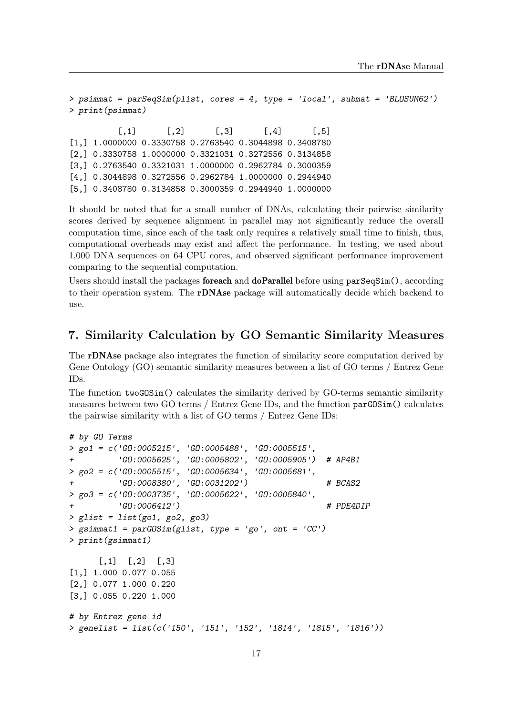```
> psimmat = parSeqSim(plist, cores = 4, type = 'local', submat = 'BLOSUM62')
> print(psimmat)
```
 $[0,1]$   $[0,2]$   $[0,3]$   $[0,4]$   $[0,5]$ [1,] 1.0000000 0.3330758 0.2763540 0.3044898 0.3408780 [2,] 0.3330758 1.0000000 0.3321031 0.3272556 0.3134858 [3,] 0.2763540 0.3321031 1.0000000 0.2962784 0.3000359 [4,] 0.3044898 0.3272556 0.2962784 1.0000000 0.2944940 [5,] 0.3408780 0.3134858 0.3000359 0.2944940 1.0000000

It should be noted that for a small number of DNAs, calculating their pairwise similarity scores derived by sequence alignment in parallel may not significantly reduce the overall computation time, since each of the task only requires a relatively small time to finish, thus, computational overheads may exist and affect the performance. In testing, we used about 1,000 DNA sequences on 64 CPU cores, and observed significant performance improvement comparing to the sequential computation.

Users should install the packages **foreach** and **doParallel** before using  $\text{parSeqSim}()$ , according to their operation system. The rDNAse package will automatically decide which backend to use.

# <span id="page-18-0"></span>7. Similarity Calculation by GO Semantic Similarity Measures

The rDNAse package also integrates the function of similarity score computation derived by Gene Ontology (GO) semantic similarity measures between a list of GO terms / Entrez Gene IDs.

The function twoGOSim() calculates the similarity derived by GO-terms semantic similarity measures between two GO terms / Entrez Gene IDs, and the function parGOSim() calculates the pairwise similarity with a list of GO terms / Entrez Gene IDs:

```
# by GO Terms
> go1 = c('GO:0005215', 'GO:0005488', 'GO:0005515',
+ 'GO:0005625', 'GO:0005802', 'GO:0005905') # AP4B1
> go2 = c('GO:0005515', 'GO:0005634', 'GO:0005681',
         + 'GO:0008380', 'GO:0031202') # BCAS2
> go3 = c('GO:0003735', 'GO:0005622', 'GO:0005840',
+ 'GO:0006412') # PDE4DIP
> glist = list(go1, go2, go3)
> gsimmat1 = parGOSim(glist, type = 'go', ont = 'CC')
> print(gsimmat1)
     [,1] [,2] [,3][1,] 1.000 0.077 0.055
[2,] 0.077 1.000 0.220
[3,] 0.055 0.220 1.000
# by Entrez gene id
> genelist = list(c('150', '151', '152', '1814', '1815', '1816'))
```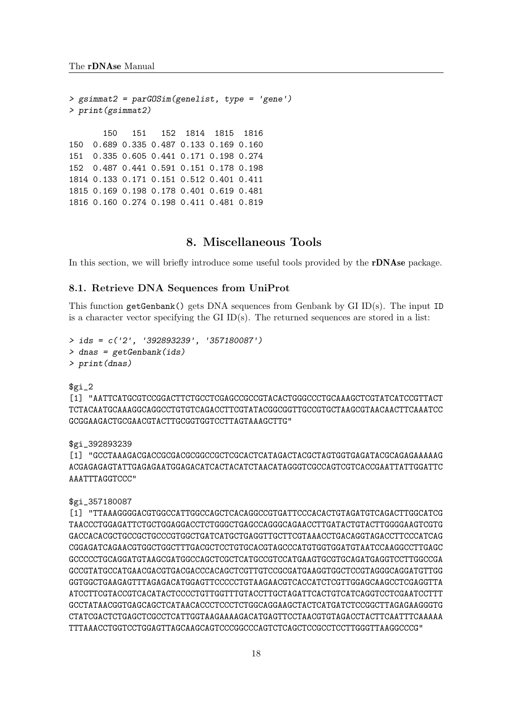```
> gsimmat2 = parGOSim(genelist, type = 'gene')
> print(gsimmat2)
      150 151 152 1814 1815 1816
150 0.689 0.335 0.487 0.133 0.169 0.160
151 0.335 0.605 0.441 0.171 0.198 0.274
152 0.487 0.441 0.591 0.151 0.178 0.198
1814 0.133 0.171 0.151 0.512 0.401 0.411
1815 0.169 0.198 0.178 0.401 0.619 0.481
1816 0.160 0.274 0.198 0.411 0.481 0.819
```
# 8. Miscellaneous Tools

<span id="page-19-0"></span>In this section, we will briefly introduce some useful tools provided by the rDNAse package.

#### 8.1. Retrieve DNA Sequences from UniProt

This function getGenbank() gets DNA sequences from Genbank by GI ID(s). The input ID is a character vector specifying the GI  $ID(s)$ . The returned sequences are stored in a list:

```
> ids = c('2', '392893239', '357180087')
> dnas = getGenbank(ids)
> print(dnas)
```
 $$g_1_2$ 

```
[1] "AATTCATGCGTCCGGACTTCTGCCTCGAGCCGCCGTACACTGGGCCCTGCAAAGCTCGTATCATCCGTTACT
TCTACAATGCAAAGGCAGGCCTGTGTCAGACCTTCGTATACGGCGGTTGCCGTGCTAAGCGTAACAACTTCAAATCC
GCGGAAGACTGCGAACGTACTTGCGGTGGTCCTTAGTAAAGCTTG"
```
\$gi\_392893239

[1] "GCCTAAAGACGACCGCGACGCGGCCGCTCGCACTCATAGACTACGCTAGTGGTGAGATACGCAGAGAAAAAG ACGAGAGAGTATTGAGAGAATGGAGACATCACTACATCTAACATAGGGTCGCCAGTCGTCACCGAATTATTGGATTC AAATTTAGGTCCC"

\$gi\_357180087

[1] "TTAAAGGGGACGTGGCCATTGGCCAGCTCACAGGCCGTGATTCCCACACTGTAGATGTCAGACTTGGCATCG TAACCCTGGAGATTCTGCTGGAGGACCTCTGGGCTGAGCCAGGGCAGAACCTTGATACTGTACTTGGGGAAGTCGTG GACCACACGCTGCCGCTGCCCGTGGCTGATCATGCTGAGGTTGCTTCGTAAACCTGACAGGTAGACCTTCCCATCAG CGGAGATCAGAACGTGGCTGGCTTTGACGCTCCTGTGCACGTAGCCCATGTGGTGGATGTAATCCAAGGCCTTGAGC GCCCCCTGCAGGATGTAAGCGATGGCCAGCTCGCTCATGCCGTCCATGAAGTGCGTGCAGATGAGGTCCTTGGCCGA GCCGTATGCCATGAACGACGTGACGACCCACAGCTCGTTGTCCGCGATGAAGGTGGCTCCGTAGGGCAGGATGTTGG GGTGGCTGAAGAGTTTAGAGACATGGAGTTCCCCCTGTAAGAACGTCACCATCTCGTTGGAGCAAGCCTCGAGGTTA ATCCTTCGTACCGTCACATACTCCCCTGTTGGTTTGTACCTTGCTAGATTCACTGTCATCAGGTCCTCGAATCCTTT GCCTATAACGGTGAGCAGCTCATAACACCCTCCCTCTGGCAGGAAGCTACTCATGATCTCCGGCTTAGAGAAGGGTG CTATCGACTCTGAGCTCGCCTCATTGGTAAGAAAAGACATGAGTTCCTAACGTGTAGACCTACTTCAATTTCAAAAA TTTAAACCTGGTCCTGGAGTTAGCAAGCAGTCCCGGCCCAGTCTCAGCTCCGCCTCCTTGGGTTAAGGCCCG"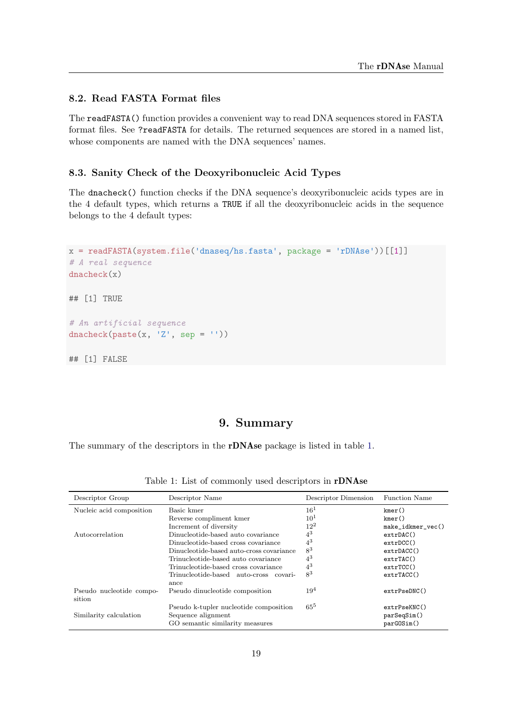### 8.2. Read FASTA Format files

The readFASTA() function provides a convenient way to read DNA sequences stored in FASTA format files. See ?readFASTA for details. The returned sequences are stored in a named list, whose components are named with the DNA sequences' names.

### 8.3. Sanity Check of the Deoxyribonucleic Acid Types

The dnacheck() function checks if the DNA sequence's deoxyribonucleic acids types are in the 4 default types, which returns a TRUE if all the deoxyribonucleic acids in the sequence belongs to the 4 default types:

```
x = readFASTA(system.file('dnaseq/hs.fasta', package = 'rDNAse'))[[1]]
# A real sequence
dnacheck(x)
## [1] TRUE
# An artificial sequence
dnacheck(paste(x, 'Z', sep = ''))
## [1] FALSE
```
### 9. Summary

<span id="page-20-0"></span>The summary of the descriptors in the rDNAse package is listed in table [1.](#page-20-1)

| Descriptor Group                   | Descriptor Name                          | Descriptor Dimension | <b>Function Name</b> |
|------------------------------------|------------------------------------------|----------------------|----------------------|
| Nucleic acid composition           | Basic kmer                               | 16 <sup>1</sup>      | kmer()               |
|                                    | Reverse compliment kmer                  | $10^{1}$             | kmer()               |
|                                    | Increment of diversity                   | $12^{2}$             | make_idkmer_vec()    |
| Autocorrelation                    | Dinucleotide-based auto covariance       | $4^3$                | extpAC()             |
|                                    | Dinucleotide-based cross covariance      | $4^3$                | $ext{DCC}()$         |
|                                    | Dinucleotide-based auto-cross covariance | $8^3$                | extpACC()            |
|                                    | Trinucleotide-based auto covariance      | $4^3$                | extrTAC()            |
|                                    | Trinucleotide-based cross covariance     | $4^3$                | extrTCC()            |
|                                    | Trinucleotide-based auto-cross covari-   | $8^3$                | extrRCC()            |
|                                    | ance                                     |                      |                      |
| Pseudo nucleotide compo-<br>sition | Pseudo dinucleotide composition          | $19^4$               | extPseDNC()          |
|                                    | Pseudo k-tupler nucleotide composition   | $65^5$               | extrPseKNC()         |
| Similarity calculation             | Sequence alignment                       |                      | parSeqSim()          |
|                                    | GO semantic similarity measures          |                      | parGOSim()           |

<span id="page-20-1"></span>Table 1: List of commonly used descriptors in rDNAse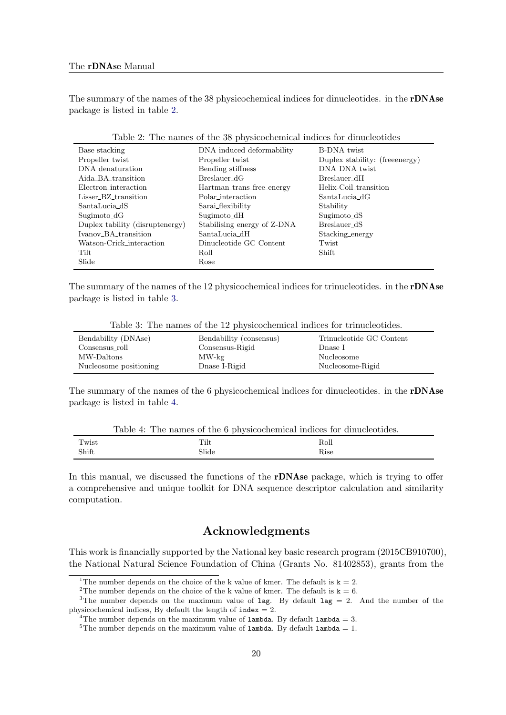The summary of the names of the 38 physicochemical indices for dinucleotides. in the rDNAse package is listed in table [2.](#page-21-0)

| Base stacking                   | DNA induced deformability   | <b>B-DNA</b> twist              |
|---------------------------------|-----------------------------|---------------------------------|
| Propeller twist                 | Propeller twist             | Duplex stability: (free energy) |
| DNA denaturation                | Bending stiffness           | DNA DNA twist                   |
| Aida_BA_transition              | $Breslauer_dG$              | Breslauer_dH                    |
| Electron_interaction            | Hartman_trans_free_energy   | Helix-Coil_transition           |
| $Lisser\_BZ\_transition$        | Polar interaction           | SantaLucia_dG                   |
| $\operatorname{SantaLucia\_dS}$ | Sarai_flexibility           | Stability                       |
| $Sugimoto\_dG$                  | Sugimoto_dH                 | Sugimoto_dS                     |
| Duplex tability (disruptenergy) | Stabilising energy of Z-DNA | Breslauer_dS                    |
| Ivanov_BA_transition            | $SantaLucia_dH$             | Stacking_energy                 |
| Watson-Crick_interaction        | Dinucleotide GC Content     | Twist                           |
| Tilt                            | Roll                        | Shift                           |
| Slide                           | Rose                        |                                 |
|                                 |                             |                                 |

<span id="page-21-0"></span>Table 2: The names of the 38 physicochemical indices for dinucleotides

The summary of the names of the 12 physicochemical indices for trinucleotides. in the rDNAse package is listed in table [3.](#page-21-1)

<span id="page-21-1"></span>Table 3: The names of the 12 physicochemical indices for trinucleotides.

| Bendability (DNAse)    | Bendability (consensus) | Trinucleotide GC Content |
|------------------------|-------------------------|--------------------------|
| Consensus_roll         | Consensus-Rigid         | Dnase I                  |
| MW-Daltons             | $MW$ -kg                | Nucleosome               |
| Nucleosome positioning | Dnase I-Rigid           | Nucleosome-Rigid         |

The summary of the names of the 6 physicochemical indices for dinucleotides. in the **rDNAse** package is listed in table [4.](#page-21-2)

<span id="page-21-2"></span>

| Table 4: The names of the 6 physicochemical indices for dinucleotides. |  |  |
|------------------------------------------------------------------------|--|--|
|                                                                        |  |  |

| $\mathbf{u}$<br>`wist | m.<br>Tilt   | Roll |
|-----------------------|--------------|------|
| Shift                 | <b>Slide</b> | Rise |

In this manual, we discussed the functions of the **rDNAse** package, which is trying to offer a comprehensive and unique toolkit for DNA sequence descriptor calculation and similarity computation.

### Acknowledgments

This work is financially supported by the National key basic research program (2015CB910700), the National Natural Science Foundation of China (Grants No. 81402853), grants from the

<sup>&</sup>lt;sup>1</sup>The number depends on the choice of the k value of kmer. The default is  $k = 2$ .

<sup>&</sup>lt;sup>2</sup>The number depends on the choice of the k value of kmer. The default is  $k = 6$ .

<sup>&</sup>lt;sup>3</sup>The number depends on the maximum value of lag. By default lag = 2. And the number of the physicochemical indices, By default the length of  $index = 2$ .

<sup>&</sup>lt;sup>4</sup>The number depends on the maximum value of lambda. By default lambda = 3.

 $5$ The number depends on the maximum value of lambda. By default lambda = 1.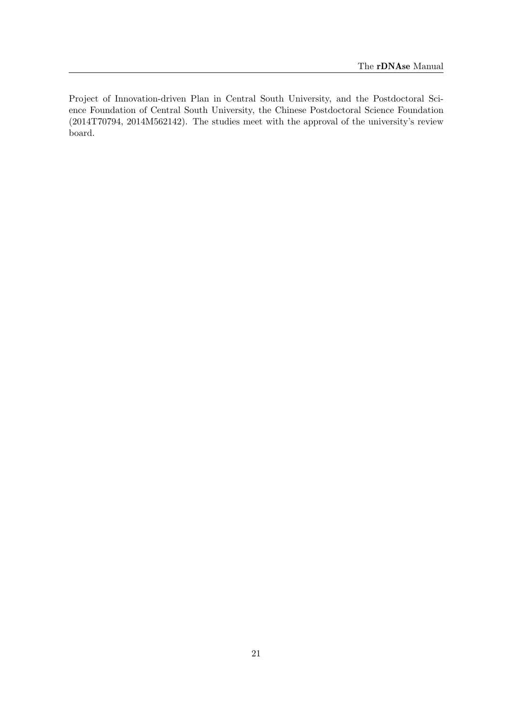Project of Innovation-driven Plan in Central South University, and the Postdoctoral Science Foundation of Central South University, the Chinese Postdoctoral Science Foundation (2014T70794, 2014M562142). The studies meet with the approval of the university's review board.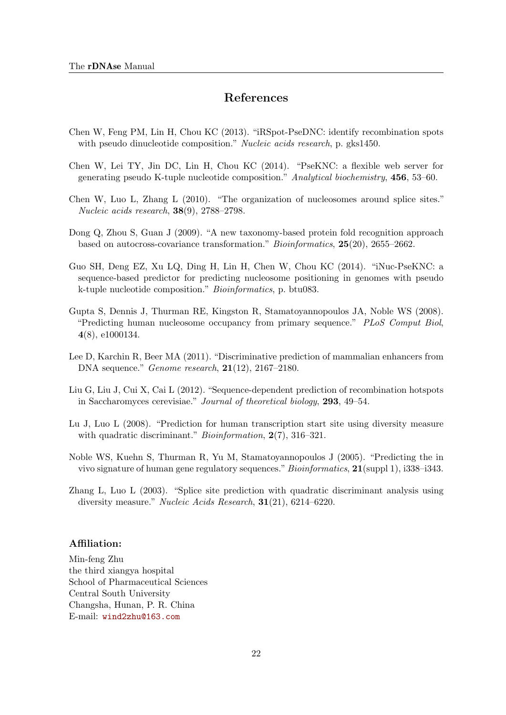# References

- <span id="page-23-8"></span>Chen W, Feng PM, Lin H, Chou KC (2013). "iRSpot-PseDNC: identify recombination spots with pseudo dinucleotide composition." Nucleic acids research, p. gks1450.
- Chen W, Lei TY, Jin DC, Lin H, Chou KC (2014). "PseKNC: a flexible web server for generating pseudo K-tuple nucleotide composition." Analytical biochemistry, 456, 53–60.
- <span id="page-23-5"></span>Chen W, Luo L, Zhang L (2010). "The organization of nucleosomes around splice sites." Nucleic acids research, 38(9), 2788–2798.
- <span id="page-23-7"></span>Dong Q, Zhou S, Guan J (2009). "A new taxonomy-based protein fold recognition approach based on autocross-covariance transformation." Bioinformatics, 25(20), 2655–2662.
- <span id="page-23-9"></span>Guo SH, Deng EZ, Xu LQ, Ding H, Lin H, Chen W, Chou KC (2014). "iNuc-PseKNC: a sequence-based predictor for predicting nucleosome positioning in genomes with pseudo k-tuple nucleotide composition." Bioinformatics, p. btu083.
- <span id="page-23-2"></span>Gupta S, Dennis J, Thurman RE, Kingston R, Stamatoyannopoulos JA, Noble WS (2008). "Predicting human nucleosome occupancy from primary sequence." PLoS Comput Biol, 4(8), e1000134.
- <span id="page-23-1"></span>Lee D, Karchin R, Beer MA (2011). "Discriminative prediction of mammalian enhancers from DNA sequence." Genome research, 21(12), 2167–2180.
- <span id="page-23-6"></span>Liu G, Liu J, Cui X, Cai L (2012). "Sequence-dependent prediction of recombination hotspots in Saccharomyces cerevisiae." Journal of theoretical biology, 293, 49–54.
- <span id="page-23-4"></span>Lu J, Luo L (2008). "Prediction for human transcription start site using diversity measure with quadratic discriminant." *Bioinformation*, 2(7), 316–321.
- <span id="page-23-0"></span>Noble WS, Kuehn S, Thurman R, Yu M, Stamatoyannopoulos J (2005). "Predicting the in vivo signature of human gene regulatory sequences." Bioinformatics, 21(suppl 1), i338–i343.
- <span id="page-23-3"></span>Zhang L, Luo L (2003). "Splice site prediction with quadratic discriminant analysis using diversity measure." Nucleic Acids Research, 31(21), 6214–6220.

#### Affiliation:

Min-feng Zhu the third xiangya hospital School of Pharmaceutical Sciences Central South University Changsha, Hunan, P. R. China E-mail: [wind2zhu@163.com](mailto:wind2zhu@163.com)